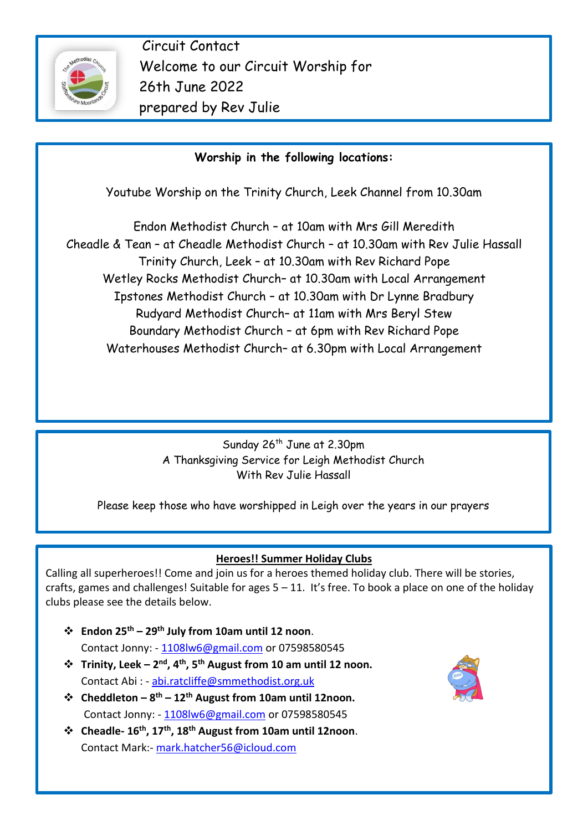

Circuit Contact Welcome to our Circuit Worship for 26th June 2022 prepared by Rev Julie

## **Worship in the following locations:**

Youtube Worship on the Trinity Church, Leek Channel from 10.30am

Endon Methodist Church – at 10am with Mrs Gill Meredith Cheadle & Tean – at Cheadle Methodist Church – at 10.30am with Rev Julie Hassall Trinity Church, Leek – at 10.30am with Rev Richard Pope Wetley Rocks Methodist Church– at 10.30am with Local Arrangement Ipstones Methodist Church – at 10.30am with Dr Lynne Bradbury Rudyard Methodist Church– at 11am with Mrs Beryl Stew Boundary Methodist Church – at 6pm with Rev Richard Pope Waterhouses Methodist Church– at 6.30pm with Local Arrangement

> Sunday 26<sup>th</sup> June at 2.30pm A Thanksgiving Service for Leigh Methodist Church With Rev Julie Hassall

Please keep those who have worshipped in Leigh over the years in our prayers

#### **Heroes!! Summer Holiday Clubs**

Calling all superheroes!! Come and join us for a heroes themed holiday club. There will be stories, crafts, games and challenges! Suitable for ages  $5 - 11$ . It's free. To book a place on one of the holiday clubs please see the details below.

- ❖ **Endon 25th – 29 th July from 10am until 12 noon**. Contact Jonny: - [1108lw6@gmail.com](mailto:1108lw6@gmail.com) or 07598580545
- ❖ **Trinity, Leek – 2 nd, 4th, 5th August from 10 am until 12 noon.** Contact Abi : - [abi.ratcliffe@smmethodist.org.uk](mailto:abi.ratcliffe@smmethodist.org.uk)
- ❖ **Cheddleton – 8 th – 12th August from 10am until 12noon.** Contact Jonny: - [1108lw6@gmail.com](mailto:1108lw6@gmail.com) or 07598580545
- ❖ **Cheadle- 16th, 17th, 18th August from 10am until 12noon**. Contact Mark:- [mark.hatcher56@icloud.com](mailto:mark.hatcher56@icloud.com)

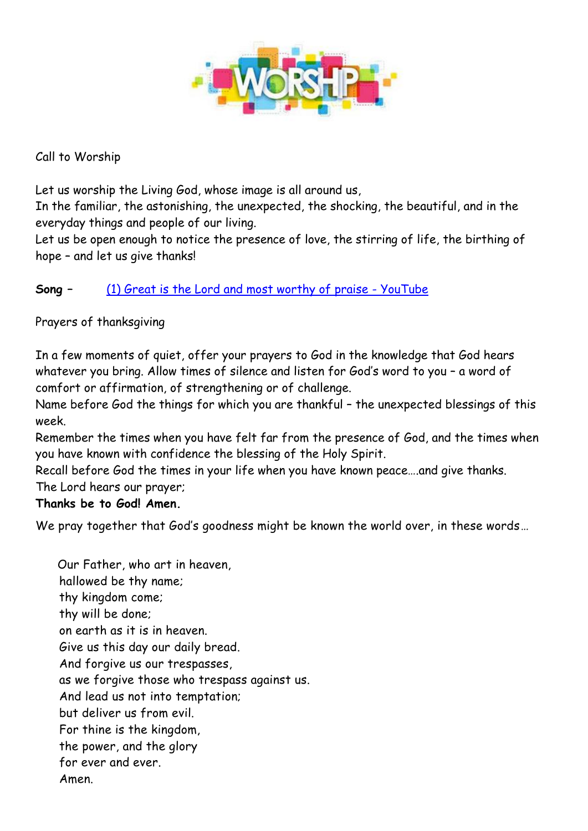

#### Call to Worship

Let us worship the Living God, whose image is all around us,

In the familiar, the astonishing, the unexpected, the shocking, the beautiful, and in the everyday things and people of our living.

Let us be open enough to notice the presence of love, the stirring of life, the birthing of hope – and let us give thanks!

### **Song –** [\(1\) Great is the Lord and most worthy of praise -](https://www.youtube.com/watch?v=O8NzE5wNqus) YouTube

#### Prayers of thanksgiving

In a few moments of quiet, offer your prayers to God in the knowledge that God hears whatever you bring. Allow times of silence and listen for God's word to you – a word of comfort or affirmation, of strengthening or of challenge.

Name before God the things for which you are thankful – the unexpected blessings of this week.

Remember the times when you have felt far from the presence of God, and the times when you have known with confidence the blessing of the Holy Spirit.

Recall before God the times in your life when you have known peace….and give thanks. The Lord hears our prayer;

#### **Thanks be to God! Amen.**

We pray together that God's goodness might be known the world over, in these words...

 Our Father, who art in heaven, hallowed be thy name; thy kingdom come; thy will be done; on earth as it is in heaven. Give us this day our daily bread. And forgive us our trespasses, as we forgive those who trespass against us. And lead us not into temptation; but deliver us from evil. For thine is the kingdom, the power, and the glory for ever and ever. Amen.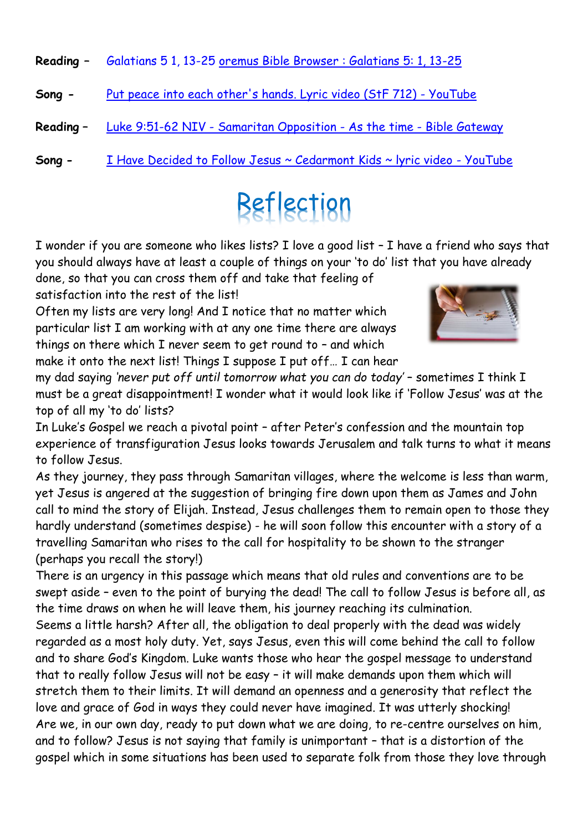**Reading –** Galatians 5 1, 13-25 [oremus Bible Browser : Galatians 5: 1, 13-25](https://bible.oremus.org/?ql=515820691)

- **Song -** [Put peace into each other's hands. Lyric video \(StF 712\) -](https://www.youtube.com/watch?v=5VI_sd5A-h8) YouTube
- **Reading –** Luke 9:51-62 NIV [Samaritan Opposition -](https://www.biblegateway.com/passage/?search=Luke%209:51-62&version=NIV) As the time Bible Gateway
- **Song -** [I Have Decided to Follow Jesus ~ Cedarmont Kids ~ lyric video -](https://www.youtube.com/watch?v=_L9h9UjIkMM) YouTube

# Reflection

I wonder if you are someone who likes lists? I love a good list – I have a friend who says that you should always have at least a couple of things on your 'to do' list that you have already

done, so that you can cross them off and take that feeling of satisfaction into the rest of the list!

Often my lists are very long! And I notice that no matter which particular list I am working with at any one time there are always things on there which I never seem to get round to – and which make it onto the next list! Things I suppose I put off... I can hear



my dad saying *'never put off until tomorrow what you can do today'* – sometimes I think I must be a great disappointment! I wonder what it would look like if 'Follow Jesus' was at the top of all my 'to do' lists?

In Luke's Gospel we reach a pivotal point – after Peter's confession and the mountain top experience of transfiguration Jesus looks towards Jerusalem and talk turns to what it means to follow Jesus.

As they journey, they pass through Samaritan villages, where the welcome is less than warm, yet Jesus is angered at the suggestion of bringing fire down upon them as James and John call to mind the story of Elijah. Instead, Jesus challenges them to remain open to those they hardly understand (sometimes despise) - he will soon follow this encounter with a story of a travelling Samaritan who rises to the call for hospitality to be shown to the stranger (perhaps you recall the story!)

There is an urgency in this passage which means that old rules and conventions are to be swept aside – even to the point of burying the dead! The call to follow Jesus is before all, as the time draws on when he will leave them, his journey reaching its culmination. Seems a little harsh? After all, the obligation to deal properly with the dead was widely regarded as a most holy duty. Yet, says Jesus, even this will come behind the call to follow and to share God's Kingdom. Luke wants those who hear the gospel message to understand that to really follow Jesus will not be easy – it will make demands upon them which will stretch them to their limits. It will demand an openness and a generosity that reflect the love and grace of God in ways they could never have imagined. It was utterly shocking! Are we, in our own day, ready to put down what we are doing, to re-centre ourselves on him, and to follow? Jesus is not saying that family is unimportant – that is a distortion of the gospel which in some situations has been used to separate folk from those they love through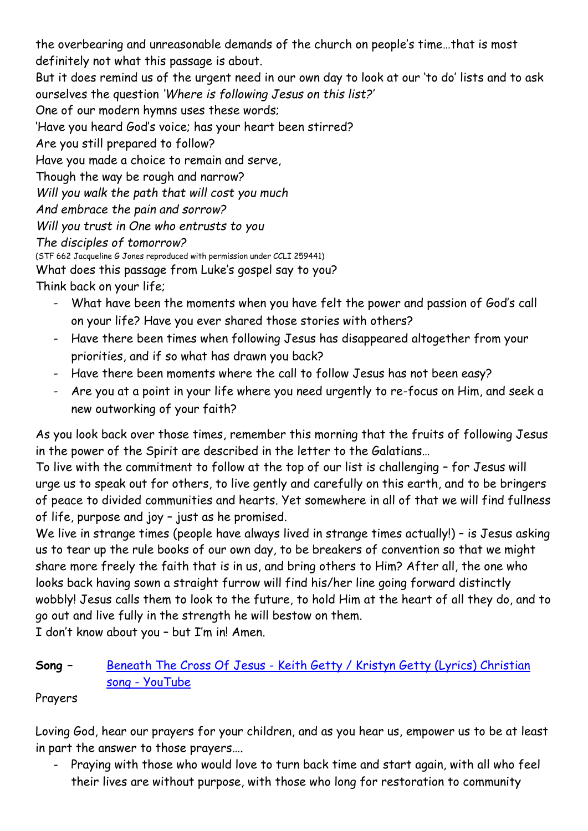the overbearing and unreasonable demands of the church on people's time…that is most definitely not what this passage is about. But it does remind us of the urgent need in our own day to look at our 'to do' lists and to ask ourselves the question *'Where is following Jesus on this list?'*  One of our modern hymns uses these words; 'Have you heard God's voice; has your heart been stirred? Are you still prepared to follow? Have you made a choice to remain and serve, Though the way be rough and narrow? *Will you walk the path that will cost you much And embrace the pain and sorrow? Will you trust in One who entrusts to you The disciples of tomorrow?* (STF 662 Jacqueline G Jones reproduced with permission under CCLI 259441) What does this passage from Luke's gospel say to you? Think back on your life;

- What have been the moments when you have felt the power and passion of God's call on your life? Have you ever shared those stories with others?
- Have there been times when following Jesus has disappeared altogether from your priorities, and if so what has drawn you back?
- Have there been moments where the call to follow Jesus has not been easy?
- Are you at a point in your life where you need urgently to re-focus on Him, and seek a new outworking of your faith?

As you look back over those times, remember this morning that the fruits of following Jesus in the power of the Spirit are described in the letter to the Galatians…

To live with the commitment to follow at the top of our list is challenging – for Jesus will urge us to speak out for others, to live gently and carefully on this earth, and to be bringers of peace to divided communities and hearts. Yet somewhere in all of that we will find fullness of life, purpose and joy – just as he promised.

We live in strange times (people have always lived in strange times actually!) - is Jesus asking us to tear up the rule books of our own day, to be breakers of convention so that we might share more freely the faith that is in us, and bring others to Him? After all, the one who looks back having sown a straight furrow will find his/her line going forward distinctly wobbly! Jesus calls them to look to the future, to hold Him at the heart of all they do, and to go out and live fully in the strength he will bestow on them.

I don't know about you – but I'm in! Amen.

# **Song –** Beneath The Cross Of Jesus - [Keith Getty / Kristyn Getty \(Lyrics\) Christian](https://www.youtube.com/watch?v=qCETRBUCEZw)  song - [YouTube](https://www.youtube.com/watch?v=qCETRBUCEZw)

# Prayers

Loving God, hear our prayers for your children, and as you hear us, empower us to be at least in part the answer to those prayers….

- Praying with those who would love to turn back time and start again, with all who feel their lives are without purpose, with those who long for restoration to community